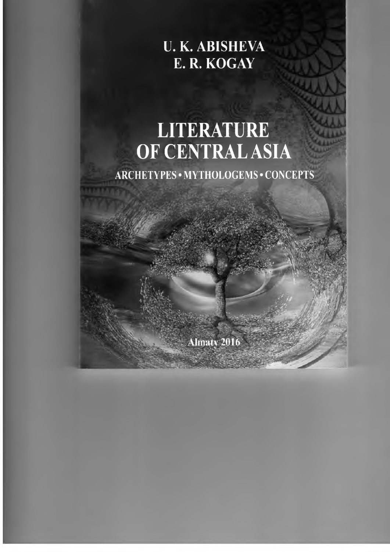<span id="page-0-0"></span>**и. К. ABISHEVA Е. R. KOGAY**

# **LITERATURE OF CENTRAL ASIA**

ARCHETYPES • MYTHOLOGEMS • CONCEPTS

Almaty 2016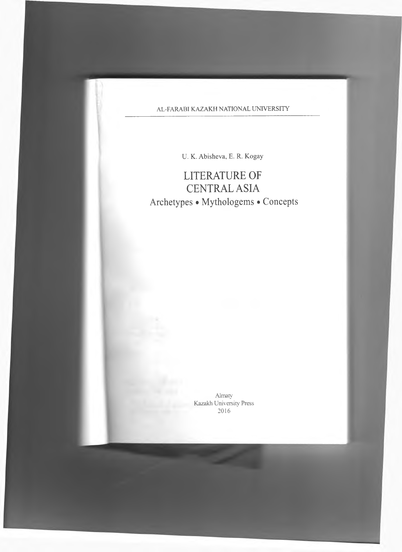### **AL-FARABI KAZAKH NATIONAL UNIVERSITY**

U. K. Abisheva, E. R. Kogay

# LITERATURE OF CENTRAL ASIA Archetypes • Mythologems • Concepts

**Almaty Kazakh University Press** 2016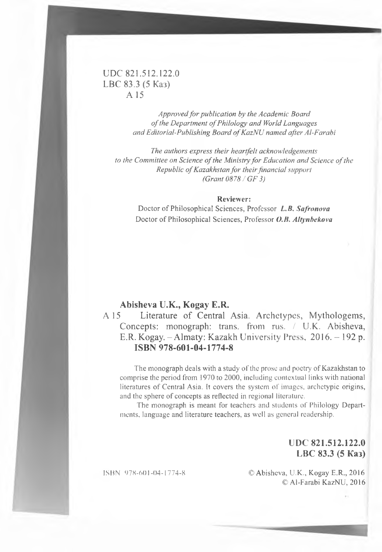#### UDC 821.512.122.0 LBC 83.3 (5 Каз) A 15

Approved for publication by the Academic Board *of the Department of Philology and World Languages* and Editorial-Publishing Board of KazNU named after Al-Farabi

*The authors express their heartfelt acknowledgements to the Committee on Science of the Ministry for Education and Science of the Republic of Kazakhstan for their financial support (Grant 0878 / GF 3)*

#### **Reviewer:**

Doctor of Philosophical Sciences, Professor *L.B. Safronova* Doctor of Philosophical Sciences, Professor O.B. Altynbekova

#### **Abisheva U.K., Kogay E.R.**

A 15 Literature of Central Asia. Archetypes, Mythologems, Concepts: monograph: trans. from rus. / U.K. Abisheva, E.R. Kogay. - Almaty: Kazakh University Press, 2016. - 192 p. **ISBN 978-601-04-1774-8**

The monograph deals with a study of the prose and poetry of Kazakhstan to comprise the period from 1970 to 2000, including contextual links with national literatures of Central Asia. It covers the system of images, archetypic origins, and the sphere of concepts as reflected in regional literature.

The monograph is meant for teachers and students of Philology Departments, language and literature teachers, as well as general readership.

> **UDC 821.512.122.0 LBC 83.3 (5 Каз)**

ISBN 978-601-04-1774-8 © Abisheva, U.K., Kogay E.R., 2016 © Al-Farabi KazNU, 2016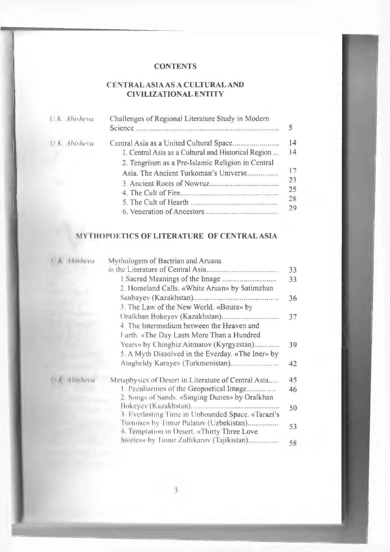#### **CONTENTS**

I

I

#### **CENTRAL ASIA AS A CULTURAL AND CIVILIZATIONAL ENTITY**

| $U$ K $=$ Abisheva   | Challenges of Regional Literature Study in Modern   | 5  |
|----------------------|-----------------------------------------------------|----|
| <b>U.K.</b> Abisheva |                                                     | 14 |
|                      | 1. Central Asia as a Cultural and Historical Region | 14 |
|                      | 2. Tengriism as a Pre-Islamic Religion in Central   |    |
|                      | Asia. The Ancient Turkoman's Universe               | 17 |
|                      |                                                     | 23 |
|                      |                                                     | 25 |
|                      |                                                     | 28 |
|                      |                                                     | 29 |

#### **M\ IHOPOETICS OF LITERATURE OF CENTRAL ASIA**

| $\left\{\right $ A MARING | Mythologem of Bactrian and Aruana                                                           |    |
|---------------------------|---------------------------------------------------------------------------------------------|----|
|                           |                                                                                             | 33 |
|                           |                                                                                             | 33 |
|                           | 2. Homeland Calls. «White Aruan» by Satimzhan                                               |    |
|                           |                                                                                             | 36 |
|                           | 3. The Law of the New World. «Boura» by                                                     |    |
|                           |                                                                                             | 37 |
|                           | 4. The Intermedium between the Heaven and                                                   |    |
|                           | Larth. «The Day Lasts More Than a Hundred                                                   |    |
|                           | Years» by Chinghiz Aitmatov (Kyrgyzstan)                                                    | 39 |
|                           | 5. A Myth Dissolved in the Everday. «The Iner» by                                           |    |
|                           |                                                                                             | 42 |
| Withhere                  | Metaphysics of Desert in Literature of Central Asia                                         | 45 |
|                           | 1. Peculiarities of the Geopoetical Image                                                   | 46 |
|                           | 2. Songs of Sands. «Singing Dunes» by Oralkhan                                              |    |
|                           |                                                                                             | 50 |
|                           | <b>1 I verlasting Time in Unbounded Space. «Tarazi's</b>                                    |    |
|                           | Iurtone» by Timur Pulatov (Uzbekistan)<br><b>Example tion in Desert.</b> «Thirty Three Love | 53 |
|                           | Stortem by Timur Zulfikarov (Tajikistan)                                                    | 58 |
|                           |                                                                                             |    |

x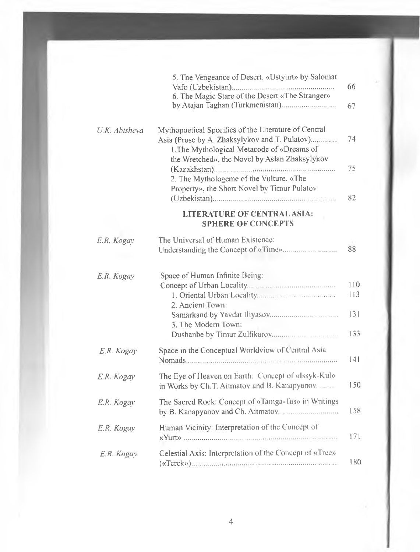|               | 5. The Vengeance of Desert. «Ustyurt» by Salomat                                                                                                                                                     | 66                       |
|---------------|------------------------------------------------------------------------------------------------------------------------------------------------------------------------------------------------------|--------------------------|
|               | 6. The Magic Stare of the Desert «The Stranger»<br>by Atajan Taghan (Turkmenistan)                                                                                                                   | 67                       |
| U.K. Abisheva | Mythopoetical Specifics of the Literature of Central<br>Asia (Prose by A. Zhaksylykov and T. Pułatov)<br>1. The Mythological Metacode of «Dreams of<br>the Wretched», the Novel by Aslan Zhaksylykov | 74<br>75                 |
|               | 2. The Mythologeme of the Vulture. «The<br>Property», the Short Novel by Timur Pulatov                                                                                                               | 82                       |
|               | <b>LITERATURE OF CENTRAL ASIA:</b><br><b>SPHERE OF CONCEPTS</b>                                                                                                                                      |                          |
| E.R. Kogay    | The Universal of Human Existence:                                                                                                                                                                    | 88                       |
| E.R. Kogay    | Space of Human Infinite Being:<br>2. Ancient Town:<br>3. The Modern Town:                                                                                                                            | 110<br>113<br>131<br>133 |
| E.R. Kogay    | Space in the Conceptual Worldview of Central Asia                                                                                                                                                    | 141                      |
| E.R. Kogay    | The Eye of Heaven on Earth: Concept of «Issyk-Kul»<br>in Works by Ch.T. Aitmatov and B. Kanapyanov                                                                                                   | 150                      |
| E.R. Kogay    | The Sacred Rock: Concept of «Tamga-Tas» in Writings                                                                                                                                                  | 158                      |
| E.R. Kogay    | Human Vicinity: Interpretation of the Concept of                                                                                                                                                     | 171                      |
| E.R. Kogav    | Celestial Axis: Interpretation of the Concept of «Tree»                                                                                                                                              | 180                      |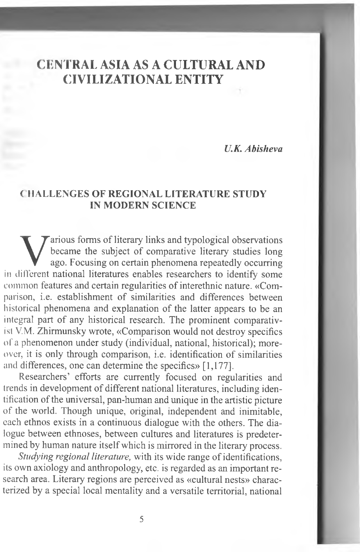## CENTRAL ASIA AS A CULTURAL AND CIVILIZATIONAL ENTITY

*U.K. Abisheva*

#### **( IIALLENGES OF REGIONAL LITERATURE STUDY IN MODERN SCIENCE**

Various forms of literary links and typological observations<br>became the subject of comparative literary studies long<br>ago. Focusing on certain phenomena repeatedly occurring<br>in different national literatures enables researc arious forms of literary links and typological observations became the subject of comparative literary studies long ago. Focusing on certain phenomena repeatedly occurring common features and certain regularities of interethnic nature. «Comparison, i.e. establishment of similarities and differences between historical phenomena and explanation of the latter appears to be an integral part of any historical research. The prominent comparativisi V.M. Zhirmunsky wrote, «Comparison would not destroy specifics of a phenomenon under study (individual, national, historical); moreover, it is only through comparison, i.e. identification of similarities and differences, one can determine the specifics» [1,177].

Researchers' efforts are currently focused on regularities and trends in development of different national literatures, including identification of the universal, pan-human and unique in the artistic picture of the world. Though unique, original, independent and inimitable, each ethnos exists in a continuous dialogue with the others. The dialogue between ethnoses, between cultures and literatures is predetermined by human nature itself which is mirrored in the literary process.

*Studying regional literature,* with its wide range of identifications, its own axiology and anthropology, etc. is regarded as an important research area. Literary regions are perceived as «cultural nests» characterized by a special local mentality and a versatile territorial, national